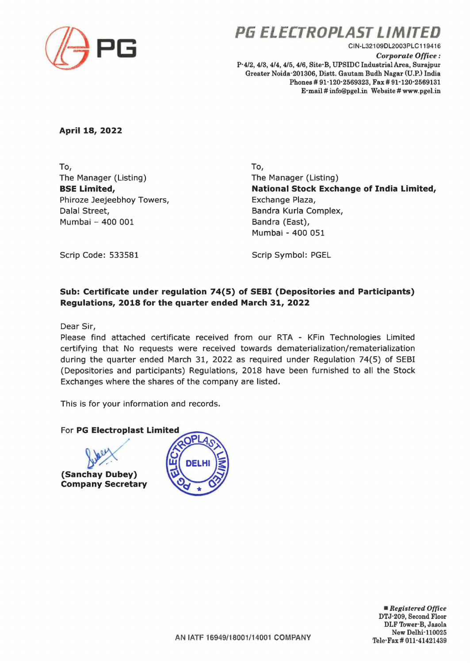

**P6 ELECTROPLAST LIMITED** 

CIN-L321 09DL2003PLC 119416 *Corporate Office:*  P-4/2, 4/3, 4/4, 4/5,4/6, Site·B, UPSIDC Industrial Area, Surajpur Greater Noida-201306, Distt. Gautam Budh Nagar (U.P.) India Phones # 91-120-2569323, Fax # 91-120-2569131 E·mail # info@pgel.in Website# www.pgel.in

**April 18, 2022** 

To, The Manager (Listing) **BSE Limited,**  Phiroze Jeejeebhoy Towers, Dalal Street, Mumbai - 400 001

To, The Manager (Listing) **National Stock Exchange of India Limited,**  Exchange Plaza, Sandra Kurla Complex, Bandra (East), Mumbai - 400 051

Scrip Code: 533581

Scrip Symbol: PGEL

## **Sub: Certificate under regulation 74(5) of SEBI (Depositories and Participants) Regulations, 2018 for the quarter ended March 31, 2022**

Dear Sir,

Please find attached certificate received from our RTA - KFin Technologies Limited certifying that No requests were received towards dematerialization/rematerialization during the quarter ended March 31, 2022 as required under Regulation 74(5) of SESI (Depositories and participants) Regulations, 2018 have been furnished to all the Stock Exchanges where the shares of the company are listed.

This is for your information and records.





• *Registered Office*  DTJ-209, Second Floor DLF Tower·B, Jasola New Delhi-110025 Tele·Fax# 011·41421439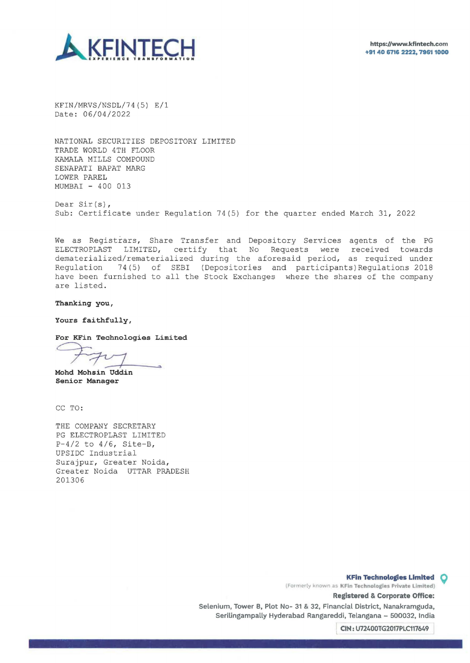



KFIN/MRVS/NSDL/74(5) E/1 Date: 06/04/2022

NATIONAL SECURITIES DEPOSITORY LIMITED TRADE WORLD 4TH FLOOR KAMALA MILLS COMPOUND SENAPATI BAPAT MARG LOWER PAREL MUMBAI - 400 013

Dear Sir(s), Sub: Certificate under Regulation 74(5) for the quarter ended March 31, 2022

We as Registrars, Share Transfer and Depository Services agents of the PG ELECTROPLAST LIMITED, certify that No Requests were received towards dematerialized/rematerialized during the aforesaid period, as required under Regulation 74(5) of SEBI (Depositories and participants)Regulations 2018 have been furnished to all the Stock Exchanges where the shares of the company are listed.

**Thanking you,** 

**Yours faithfully,** 

**For KFin Technologies Limited** 

**Mohd Mohsin Uddin Senior Manager** 

CC TO:

THE COMPANY SECRETARY PG ELECTROPLAST LIMITED  $P-4/2$  to  $4/6$ , Site-B, UPSIDC Industrial Surajpur, Greater Noida, Greater Noida UTTAR PRADESH 201306

> (Formerly known as KFin Technologies Private Limited) **KFin Technologies Limited Q**

> > **Registered & Corporate Office:**

**Selenium, Tower 8, Plot No- 31 & 32; Financial District, Nanakramguda, Serilingampally Hyderabad Rangareddi, Telangana - 500032, India** 

L **CIN: U72400TG2017PLC117649**